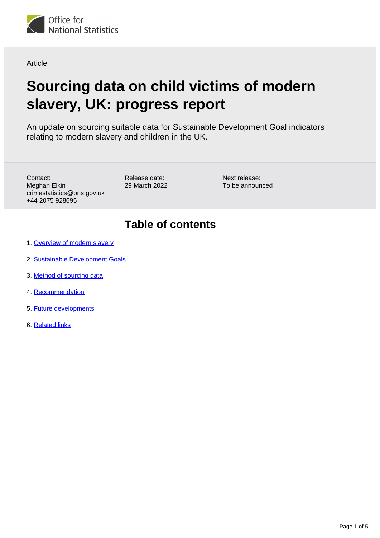

Article

# **Sourcing data on child victims of modern slavery, UK: progress report**

An update on sourcing suitable data for Sustainable Development Goal indicators relating to modern slavery and children in the UK.

Contact: Meghan Elkin crimestatistics@ons.gov.uk +44 2075 928695

Release date: 29 March 2022 Next release: To be announced

# **Table of contents**

- 1. [Overview of modern slavery](#page-1-0)
- 2. [Sustainable Development Goals](#page-1-1)
- 3. [Method of sourcing data](#page-2-0)
- 4. [Recommendation](#page-3-0)
- 5. [Future developments](#page-4-0)
- 6. [Related links](#page-4-1)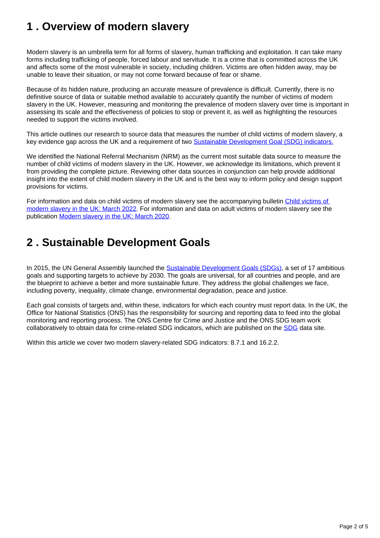# <span id="page-1-0"></span>**1 . Overview of modern slavery**

Modern slavery is an umbrella term for all forms of slavery, human trafficking and exploitation. It can take many forms including trafficking of people, forced labour and servitude. It is a crime that is committed across the UK and affects some of the most vulnerable in society, including children. Victims are often hidden away, may be unable to leave their situation, or may not come forward because of fear or shame.

Because of its hidden nature, producing an accurate measure of prevalence is difficult. Currently, there is no definitive source of data or suitable method available to accurately quantify the number of victims of modern slavery in the UK. However, measuring and monitoring the prevalence of modern slavery over time is important in assessing its scale and the effectiveness of policies to stop or prevent it, as well as highlighting the resources needed to support the victims involved.

This article outlines our research to source data that measures the number of child victims of modern slavery, a key evidence gap across the UK and a requirement of two [Sustainable Development Goal \(SDG\) indicators.](https://www.ons.gov.uk/peoplepopulationandcommunity/crimeandjustice/articles/sourcingdataonchildvictimsofmodernslaveryintheukasustainabledevelopmentgoalsprogressreport/2022-03-29#sustainable-development-goals)

We identified the National Referral Mechanism (NRM) as the current most suitable data source to measure the number of child victims of modern slavery in the UK. However, we acknowledge its limitations, which prevent it from providing the complete picture. Reviewing other data sources in conjunction can help provide additional insight into the extent of child modern slavery in the UK and is the best way to inform policy and design support provisions for victims.

For information and data on child victims of modern slavery see the accompanying bulletin [Child victims of](https://www.ons.gov.uk/peoplepopulationandcommunity/crimeandjustice/bulletins/childvictimsofmodernslaveryintheuk/march2022)  [modern slavery in the UK: March 2022.](https://www.ons.gov.uk/peoplepopulationandcommunity/crimeandjustice/bulletins/childvictimsofmodernslaveryintheuk/march2022) For information and data on adult victims of modern slavery see the publication [Modern slavery in the UK: March 2020.](http://www.ons.gov.uk/peoplepopulationandcommunity/crimeandjustice/articles/modernslaveryintheuk/march2020)

## <span id="page-1-1"></span>**2 . Sustainable Development Goals**

In 2015, the UN General Assembly launched the [Sustainable Development Goals \(SDGs\)](https://www.un.org/sustainabledevelopment/sustainable-development-goals/), a set of 17 ambitious goals and supporting targets to achieve by 2030. The goals are universal, for all countries and people, and are the blueprint to achieve a better and more sustainable future. They address the global challenges we face, including poverty, inequality, climate change, environmental degradation, peace and justice.

Each goal consists of targets and, within these, indicators for which each country must report data. In the UK, the Office for National Statistics (ONS) has the responsibility for sourcing and reporting data to feed into the global monitoring and reporting process. The ONS Centre for Crime and Justice and the ONS SDG team work collaboratively to obtain data for crime-related SDG indicators, which are published on the [SDG](https://sdgdata.gov.uk/) data site.

Within this article we cover two modern slavery-related SDG indicators: 8.7.1 and 16.2.2.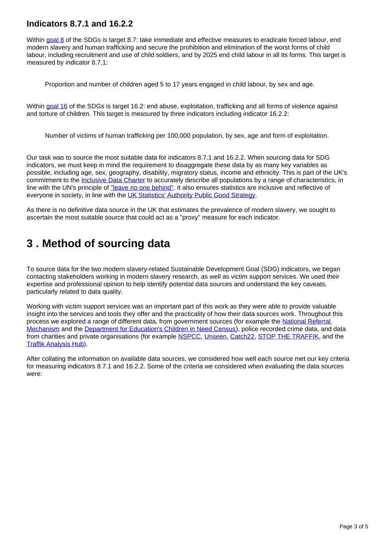#### **Indicators 8.7.1 and 16.2.2**

Within [goal 8](https://www.un.org/sustainabledevelopment/economic-growth/) of the SDGs is target 8.7: take immediate and effective measures to eradicate forced labour, end modern slavery and human trafficking and secure the prohibition and elimination of the worst forms of child labour, including recruitment and use of child soldiers, and by 2025 end child labour in all its forms. This target is measured by indicator 8.7.1:

Proportion and number of children aged 5 to 17 years engaged in child labour, by sex and age.

Within [goal 16](https://www.un.org/sustainabledevelopment/peace-justice/) of the SDGs is target 16.2: end abuse, exploitation, trafficking and all forms of violence against and torture of children. This target is measured by three indicators including indicator 16.2.2:

Number of victims of human trafficking per 100,000 population, by sex, age and form of exploitation.

Our task was to source the most suitable data for indicators 8.7.1 and 16.2.2. When sourcing data for SDG indicators, we must keep in mind the requirement to disaggregate these data by as many key variables as possible, including age, sex, geography, disability, migratory status, income and ethnicity. This is part of the UK's commitment to the [Inclusive Data Charter](https://www.data4sdgs.org/inclusivedatacharter) to accurately describe all populations by a range of characteristics, in line with the UN's principle of ["leave no one behind".](https://unsdg.un.org/2030-agenda/universal-values/leave-no-one-behind) It also ensures statistics are inclusive and reflective of everyone in society, in line with the [UK Statistics' Authority Public Good Strategy](https://uksa.statisticsauthority.gov.uk/statistics-for-the-public-good/#pid-inclusive).

As there is no definitive data source in the UK that estimates the prevalence of modern slavery, we sought to ascertain the most suitable source that could act as a "proxy" measure for each indicator.

## <span id="page-2-0"></span>**3 . Method of sourcing data**

To source data for the two modern slavery-related Sustainable Development Goal (SDG) indicators, we began contacting stakeholders working in modern slavery research, as well as victim support services. We used their expertise and professional opinion to help identify potential data sources and understand the key caveats, particularly related to data quality.

Working with victim support services was an important part of this work as they were able to provide valuable insight into the services and tools they offer and the practicality of how their data sources work. Throughout this process we explored a range of different data, from government sources (for example the [National Referral](https://www.gov.uk/government/publications/human-trafficking-victims-referral-and-assessment-forms/guidance-on-the-national-referral-mechanism-for-potential-adult-victims-of-modern-slavery-england-and-wales)  [Mechanism](https://www.gov.uk/government/publications/human-trafficking-victims-referral-and-assessment-forms/guidance-on-the-national-referral-mechanism-for-potential-adult-victims-of-modern-slavery-england-and-wales) and the [Department for Education's Children in Need Census\)](https://www.gov.uk/government/collections/statistics-children-in-need), police recorded crime data, and data from charities and private organisations (for example [NSPCC,](https://www.nspcc.org.uk/) [Unseen](https://www.unseenuk.org/), [Catch22,](https://www.catch-22.org.uk/) [STOP THE TRAFFIK,](https://www.stopthetraffik.org/) and the [Traffik Analysis Hub\)](https://www.traffikanalysis.org/).

After collating the information on available data sources, we considered how well each source met our key criteria for measuring indicators 8.7.1 and 16.2.2. Some of the criteria we considered when evaluating the data sources were: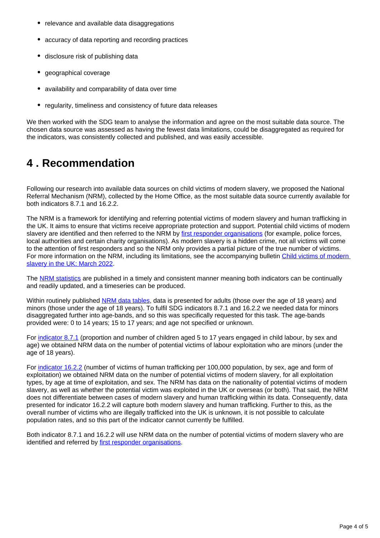- relevance and available data disaggregations
- accuracy of data reporting and recording practices
- disclosure risk of publishing data
- geographical coverage
- availability and comparability of data over time
- $\bullet$ regularity, timeliness and consistency of future data releases

We then worked with the SDG team to analyse the information and agree on the most suitable data source. The chosen data source was assessed as having the fewest data limitations, could be disaggregated as required for the indicators, was consistently collected and published, and was easily accessible.

### <span id="page-3-0"></span>**4 . Recommendation**

Following our research into available data sources on child victims of modern slavery, we proposed the National Referral Mechanism (NRM), collected by the Home Office, as the most suitable data source currently available for both indicators 8.7.1 and 16.2.2.

The NRM is a framework for identifying and referring potential victims of modern slavery and human trafficking in the UK. It aims to ensure that victims receive appropriate protection and support. Potential child victims of modern slavery are identified and then referred to the NRM by [first responder organisations](https://www.gov.uk/government/publications/human-trafficking-victims-referral-and-assessment-forms/guidance-on-the-national-referral-mechanism-for-potential-adult-victims-of-modern-slavery-england-and-wales#first-responder-organisations) (for example, police forces, local authorities and certain charity organisations). As modern slavery is a hidden crime, not all victims will come to the attention of first responders and so the NRM only provides a partial picture of the true number of victims. For more information on the NRM, including its limitations, see the accompanying bulletin [Child victims of modern](https://www.ons.gov.uk/peoplepopulationandcommunity/crimeandjustice/bulletins/childvictimsofmodernslaveryintheuk/march2022)  [slavery in the UK: March 2022.](https://www.ons.gov.uk/peoplepopulationandcommunity/crimeandjustice/bulletins/childvictimsofmodernslaveryintheuk/march2022)

The [NRM statistics](https://www.gov.uk/government/collections/national-referral-mechanism-statistics) are published in a timely and consistent manner meaning both indicators can be continually and readily updated, and a timeseries can be produced.

Within routinely published [NRM data tables,](https://www.gov.uk/government/collections/national-referral-mechanism-statistics) data is presented for adults (those over the age of 18 years) and minors (those under the age of 18 years). To fulfil SDG indicators 8.7.1 and 16.2.2 we needed data for minors disaggregated further into age-bands, and so this was specifically requested for this task. The age-bands provided were: 0 to 14 years; 15 to 17 years; and age not specified or unknown.

For [indicator 8.7.1](https://www.ons.gov.uk/peoplepopulationandcommunity/crimeandjustice/articles/sourcingdataonchildvictimsofmodernslaveryintheukasustainabledevelopmentgoalsprogressreport/2022-03-29#sustainable-development-goals) (proportion and number of children aged 5 to 17 years engaged in child labour, by sex and age) we obtained NRM data on the number of potential victims of labour exploitation who are minors (under the age of 18 years).

For [indicator 16.2.2](https://www.ons.gov.uk/peoplepopulationandcommunity/crimeandjustice/articles/sourcingdataonchildvictimsofmodernslaveryintheukasustainabledevelopmentgoalsprogressreport/2022-03-29#sustainable-development-goals) (number of victims of human trafficking per 100,000 population, by sex, age and form of exploitation) we obtained NRM data on the number of potential victims of modern slavery, for all exploitation types, by age at time of exploitation, and sex. The NRM has data on the nationality of potential victims of modern slavery, as well as whether the potential victim was exploited in the UK or overseas (or both). That said, the NRM does not differentiate between cases of modern slavery and human trafficking within its data. Consequently, data presented for indicator 16.2.2 will capture both modern slavery and human trafficking. Further to this, as the overall number of victims who are illegally trafficked into the UK is unknown, it is not possible to calculate population rates, and so this part of the indicator cannot currently be fulfilled.

Both indicator 8.7.1 and 16.2.2 will use NRM data on the number of potential victims of modern slavery who are identified and referred by [first responder organisations](https://www.gov.uk/government/publications/human-trafficking-victims-referral-and-assessment-forms/guidance-on-the-national-referral-mechanism-for-potential-adult-victims-of-modern-slavery-england-and-wales#first-responder-organisations).